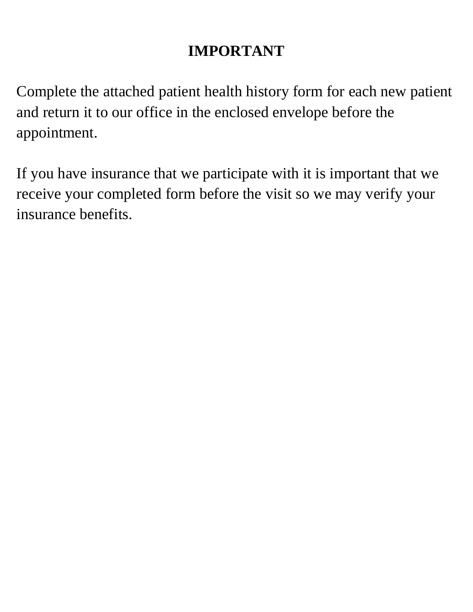## **IMPORTANT**

Complete the attached patient health history form for each new patient and return it to our office in the enclosed envelope before the appointment.

If you have insurance that we participate with it is important that we receive your completed form before the visit so we may verify your insurance benefits.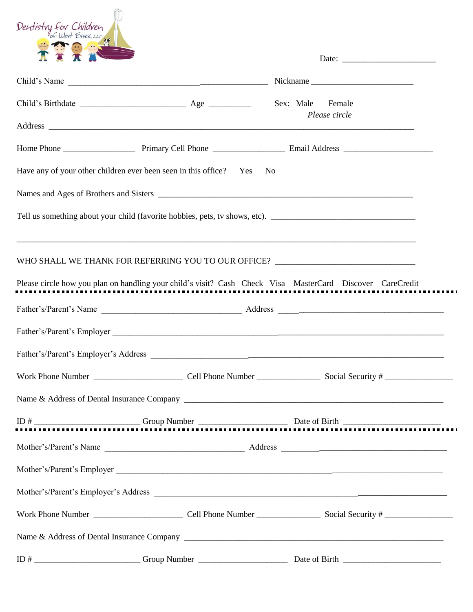| Dentistry for Children                                                                                                                                                                                                                                                                                                                                                             |  |                                   |  |  |
|------------------------------------------------------------------------------------------------------------------------------------------------------------------------------------------------------------------------------------------------------------------------------------------------------------------------------------------------------------------------------------|--|-----------------------------------|--|--|
|                                                                                                                                                                                                                                                                                                                                                                                    |  |                                   |  |  |
|                                                                                                                                                                                                                                                                                                                                                                                    |  | Sex: Male Female<br>Please circle |  |  |
|                                                                                                                                                                                                                                                                                                                                                                                    |  |                                   |  |  |
| Have any of your other children ever been seen in this office? Yes<br>N <sub>0</sub><br>Tell us something about your child (favorite hobbies, pets, tv shows, etc).                                                                                                                                                                                                                |  |                                   |  |  |
| ,我们也不能在这里的时候,我们也不能在这里的时候,我们也不能在这里的时候,我们也不能在这里的时候,我们也不能在这里的时候,我们也不能在这里的时候,我们也不能会在这<br>WHO SHALL WE THANK FOR REFERRING YOU TO OUR OFFICE? ____________________________<br>Please circle how you plan on handling your child's visit? Cash Check Visa MasterCard Discover CareCredit                                                                                                 |  |                                   |  |  |
|                                                                                                                                                                                                                                                                                                                                                                                    |  |                                   |  |  |
| Father's/Parent's Employer                                                                                                                                                                                                                                                                                                                                                         |  |                                   |  |  |
|                                                                                                                                                                                                                                                                                                                                                                                    |  |                                   |  |  |
|                                                                                                                                                                                                                                                                                                                                                                                    |  |                                   |  |  |
|                                                                                                                                                                                                                                                                                                                                                                                    |  |                                   |  |  |
| $\overline{ID}$ # $\overline{I}$ $\overline{I}$ $\overline{I}$ $\overline{I}$ $\overline{I}$ $\overline{I}$ $\overline{I}$ $\overline{I}$ $\overline{I}$ $\overline{I}$ $\overline{I}$ $\overline{I}$ $\overline{I}$ $\overline{I}$ $\overline{I}$ $\overline{I}$ $\overline{I}$ $\overline{I}$ $\overline{I}$ $\overline{I}$ $\overline{I}$ $\overline{I}$ $\overline{I}$ $\over$ |  |                                   |  |  |
|                                                                                                                                                                                                                                                                                                                                                                                    |  |                                   |  |  |
|                                                                                                                                                                                                                                                                                                                                                                                    |  |                                   |  |  |
|                                                                                                                                                                                                                                                                                                                                                                                    |  |                                   |  |  |
|                                                                                                                                                                                                                                                                                                                                                                                    |  |                                   |  |  |
|                                                                                                                                                                                                                                                                                                                                                                                    |  |                                   |  |  |
|                                                                                                                                                                                                                                                                                                                                                                                    |  |                                   |  |  |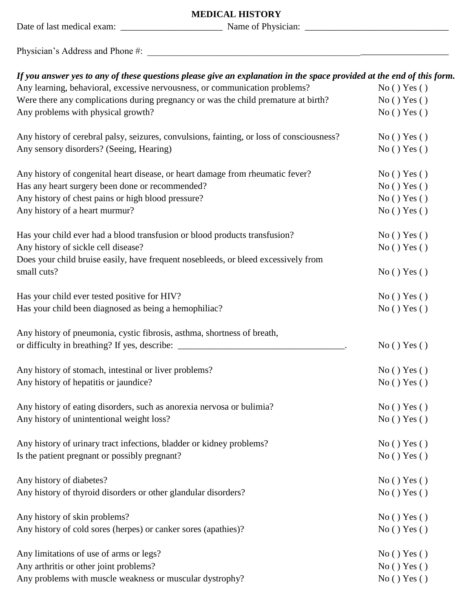| <b>MEDICAL HISTORY</b>                                                                                                |            |  |  |
|-----------------------------------------------------------------------------------------------------------------------|------------|--|--|
|                                                                                                                       |            |  |  |
|                                                                                                                       |            |  |  |
| If you answer yes to any of these questions please give an explanation in the space provided at the end of this form. |            |  |  |
| Any learning, behavioral, excessive nervousness, or communication problems?                                           | No() Yes() |  |  |
| Were there any complications during pregnancy or was the child premature at birth?                                    | No() Yes() |  |  |
| Any problems with physical growth?                                                                                    | No() Yes() |  |  |
| Any history of cerebral palsy, seizures, convulsions, fainting, or loss of consciousness?                             | No() Yes() |  |  |
| Any sensory disorders? (Seeing, Hearing)                                                                              | No() Yes() |  |  |
| Any history of congenital heart disease, or heart damage from rheumatic fever?                                        | No() Yes() |  |  |
| Has any heart surgery been done or recommended?                                                                       | No() Yes() |  |  |
| Any history of chest pains or high blood pressure?                                                                    | No() Yes() |  |  |
| Any history of a heart murmur?                                                                                        | No() Yes() |  |  |
| Has your child ever had a blood transfusion or blood products transfusion?                                            | No() Yes() |  |  |
| Any history of sickle cell disease?                                                                                   | No() Yes() |  |  |
| Does your child bruise easily, have frequent nosebleeds, or bleed excessively from                                    |            |  |  |
| small cuts?                                                                                                           | No() Yes() |  |  |
| Has your child ever tested positive for HIV?                                                                          | No() Yes() |  |  |
| Has your child been diagnosed as being a hemophiliac?                                                                 | No() Yes() |  |  |
| Any history of pneumonia, cystic fibrosis, asthma, shortness of breath,                                               |            |  |  |
| or difficulty in breathing? If yes, describe: _______                                                                 | No() Yes() |  |  |
| Any history of stomach, intestinal or liver problems?                                                                 | No() Yes() |  |  |
| Any history of hepatitis or jaundice?                                                                                 | No() Yes() |  |  |
|                                                                                                                       |            |  |  |
| Any history of eating disorders, such as anorexia nervosa or bulimia?                                                 | No() Yes() |  |  |
| Any history of unintentional weight loss?                                                                             | No() Yes() |  |  |
| Any history of urinary tract infections, bladder or kidney problems?                                                  | No() Yes() |  |  |
| Is the patient pregnant or possibly pregnant?                                                                         | No() Yes() |  |  |
|                                                                                                                       |            |  |  |
| Any history of diabetes?                                                                                              | No() Yes() |  |  |
| Any history of thyroid disorders or other glandular disorders?                                                        | No() Yes() |  |  |
| Any history of skin problems?                                                                                         | No() Yes() |  |  |
| Any history of cold sores (herpes) or canker sores (apathies)?                                                        | No() Yes() |  |  |
|                                                                                                                       |            |  |  |

Any limitations of use of arms or legs? No ( ) Yes ( ) Any arthritis or other joint problems? No ( ) Yes ( ) Any problems with muscle weakness or muscular dystrophy? No ( ) Yes ( )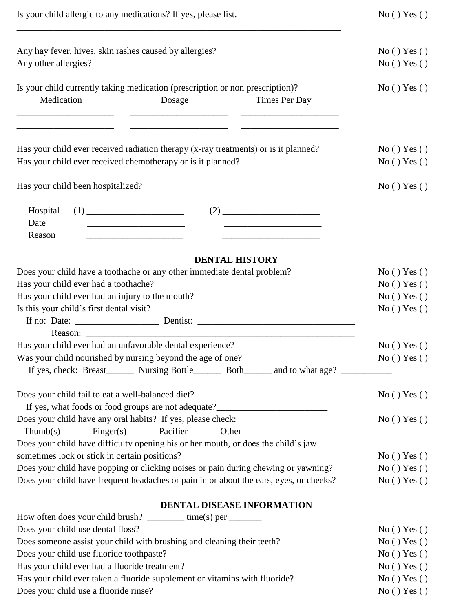| Is your child allergic to any medications? If yes, please list.                                                                                                                                                                                             | No() Yes()               |
|-------------------------------------------------------------------------------------------------------------------------------------------------------------------------------------------------------------------------------------------------------------|--------------------------|
| Any hay fever, hives, skin rashes caused by allergies?                                                                                                                                                                                                      | No() Yes()               |
|                                                                                                                                                                                                                                                             | No() Yes()               |
| Is your child currently taking medication (prescription or non prescription)?<br>Medication<br>Dosage<br>Times Per Day<br><u> 1989 - Johann Barn, mars and de Branch Barn, mars and de Branch Barn, mars and de Branch Barn, mars and de Br</u>             | No() Yes()               |
| Has your child ever received radiation therapy (x-ray treatments) or is it planned?<br>Has your child ever received chemotherapy or is it planned?                                                                                                          | No() Yes()<br>No() Yes() |
| Has your child been hospitalized?                                                                                                                                                                                                                           | No() Yes()               |
| $(2) \qquad \qquad \overbrace{\qquad \qquad }$<br>Hospital<br>Date<br>Reason<br><u> 1980 - Johann Barbara, martin amerikan per</u><br><u> 1989 - Johann Barn, mars ann an t-Amhair an t-Amhair an t-Amhair an t-Amhair an t-Amhair an t-Amhair an t-Amh</u> |                          |
| <b>DENTAL HISTORY</b>                                                                                                                                                                                                                                       |                          |
| Does your child have a toothache or any other immediate dental problem?                                                                                                                                                                                     | No() Yes()               |
| Has your child ever had a toothache?                                                                                                                                                                                                                        | No() Yes()               |
| Has your child ever had an injury to the mouth?                                                                                                                                                                                                             | No() Yes()               |
| Is this your child's first dental visit?                                                                                                                                                                                                                    | No() Yes()               |
|                                                                                                                                                                                                                                                             |                          |
| Has your child ever had an unfavorable dental experience?                                                                                                                                                                                                   | No() Yes()               |
| Was your child nourished by nursing beyond the age of one?                                                                                                                                                                                                  | No() Yes()               |
| If yes, check: Breast________ Nursing Bottle________ Both_______ and to what age? _________________                                                                                                                                                         |                          |
| Does your child fail to eat a well-balanced diet?<br>If yes, what foods or food groups are not adequate?                                                                                                                                                    | No() Yes()               |
| Does your child have any oral habits? If yes, please check:<br>Thumb(s) Finger(s) Pacifier Other                                                                                                                                                            | No() Yes()               |
| Does your child have difficulty opening his or her mouth, or does the child's jaw                                                                                                                                                                           |                          |
| sometimes lock or stick in certain positions?                                                                                                                                                                                                               | No() Yes()               |
| Does your child have popping or clicking noises or pain during chewing or yawning?                                                                                                                                                                          | No() Yes()               |
| Does your child have frequent headaches or pain in or about the ears, eyes, or cheeks?                                                                                                                                                                      | No() Yes()               |
| DENTAL DISEASE INFORMATION                                                                                                                                                                                                                                  |                          |
| How often does your child brush? $\frac{1}{2}$ time(s) per ________                                                                                                                                                                                         |                          |

| Does your child use dental floss?                                          | No() Yes() |
|----------------------------------------------------------------------------|------------|
| Does someone assist your child with brushing and cleaning their teeth?     | No() Yes() |
| Does your child use fluoride toothpaste?                                   | No() Yes() |
| Has your child ever had a fluoride treatment?                              | No() Yes() |
| Has your child ever taken a fluoride supplement or vitamins with fluoride? | No() Yes() |
| Does your child use a fluoride rinse?                                      | No() Yes() |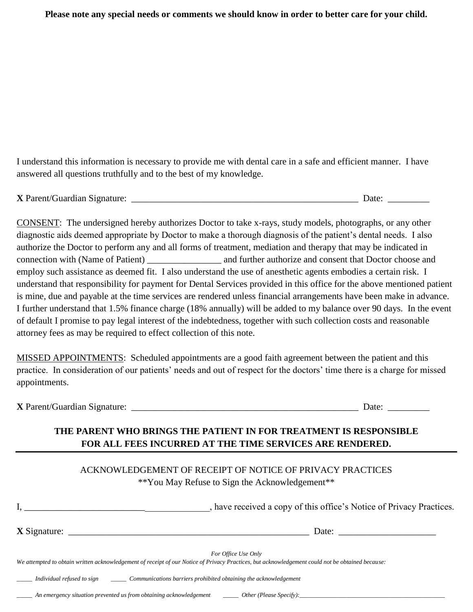**Please note any special needs or comments we should know in order to better care for your child.**

I understand this information is necessary to provide me with dental care in a safe and efficient manner. I have answered all questions truthfully and to the best of my knowledge.

**X** Parent/Guardian Signature: \_\_\_\_\_\_\_\_\_\_\_\_\_\_\_\_\_\_\_\_\_\_\_\_\_\_\_\_\_\_\_\_\_\_\_\_\_\_\_\_\_\_\_\_\_\_\_\_\_ Date: \_\_\_\_\_\_\_\_\_

CONSENT: The undersigned hereby authorizes Doctor to take x-rays, study models, photographs, or any other diagnostic aids deemed appropriate by Doctor to make a thorough diagnosis of the patient's dental needs. I also authorize the Doctor to perform any and all forms of treatment, mediation and therapy that may be indicated in connection with (Name of Patient) and further authorize and consent that Doctor choose and employ such assistance as deemed fit. I also understand the use of anesthetic agents embodies a certain risk. I understand that responsibility for payment for Dental Services provided in this office for the above mentioned patient is mine, due and payable at the time services are rendered unless financial arrangements have been make in advance. I further understand that 1.5% finance charge (18% annually) will be added to my balance over 90 days. In the event of default I promise to pay legal interest of the indebtedness, together with such collection costs and reasonable attorney fees as may be required to effect collection of this note.

MISSED APPOINTMENTS: Scheduled appointments are a good faith agreement between the patient and this practice. In consideration of our patients' needs and out of respect for the doctors' time there is a charge for missed appointments.

**X** Parent/Guardian Signature: \_\_\_\_\_\_\_\_\_\_\_\_\_\_\_\_\_\_\_\_\_\_\_\_\_\_\_\_\_\_\_\_\_\_\_\_\_\_\_\_\_\_\_\_\_\_\_\_\_ Date: \_\_\_\_\_\_\_\_\_

## **THE PARENT WHO BRINGS THE PATIENT IN FOR TREATMENT IS RESPONSIBLE FOR ALL FEES INCURRED AT THE TIME SERVICES ARE RENDERED.**

| ACKNOWLEDGEMENT OF RECEIPT OF NOTICE OF PRIVACY PRACTICES<br>**You May Refuse to Sign the Acknowledgement**                                                                                                                                                                                                                                                                                                                                       |
|---------------------------------------------------------------------------------------------------------------------------------------------------------------------------------------------------------------------------------------------------------------------------------------------------------------------------------------------------------------------------------------------------------------------------------------------------|
| , have received a copy of this office's Notice of Privacy Practices.                                                                                                                                                                                                                                                                                                                                                                              |
| Date: $\frac{1}{\sqrt{1-\frac{1}{2}} \cdot \frac{1}{2} \cdot \frac{1}{2} \cdot \frac{1}{2} \cdot \frac{1}{2} \cdot \frac{1}{2} \cdot \frac{1}{2} \cdot \frac{1}{2} \cdot \frac{1}{2} \cdot \frac{1}{2} \cdot \frac{1}{2} \cdot \frac{1}{2} \cdot \frac{1}{2} \cdot \frac{1}{2} \cdot \frac{1}{2} \cdot \frac{1}{2} \cdot \frac{1}{2} \cdot \frac{1}{2} \cdot \frac{1}{2} \cdot \frac{1}{2} \cdot \frac{1}{2} \cdot \frac{1}{2} \cdot \frac{1}{2}$ |
| For Office Use Only<br>We attempted to obtain written acknowledgement of receipt of our Notice of Privacy Practices, but acknowledgement could not be obtained because:<br>Individual refused to sign ________________Communications barriers prohibited obtaining the acknowledgement                                                                                                                                                            |

*\_\_\_\_\_ An emergency situation prevented us from obtaining acknowledgement \_\_\_\_\_ Other (Please Specify):\_\_\_\_\_\_\_\_\_\_\_\_\_\_\_\_\_\_\_\_\_\_\_\_\_\_\_\_\_\_\_\_\_\_\_\_\_\_\_\_\_\_\_\_\_\_\_*